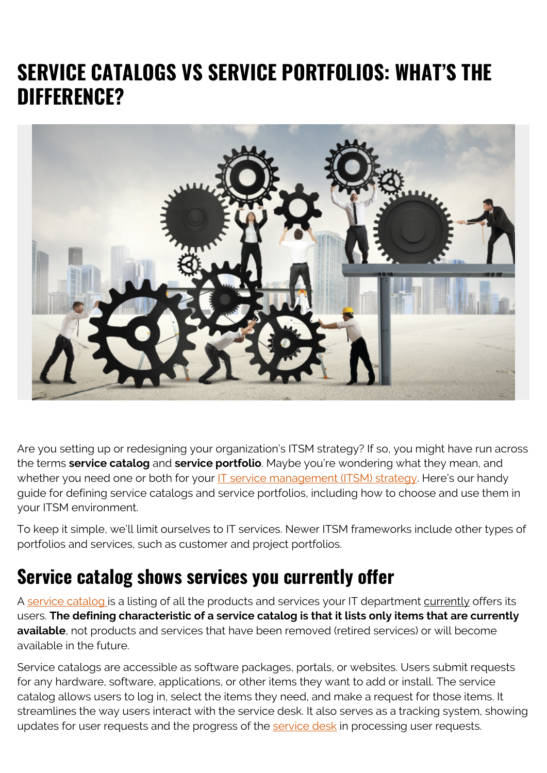# **SERVICE CATALOGS VS SERVICE PORTFOLIOS: WHAT'S THE DIFFERENCE?**



Are you setting up or redesigning your organization's ITSM strategy? If so, you might have run across the terms **service catalog** and **service portfolio**. Maybe you're wondering what they mean, and whether you need one or both for your [IT service management \(ITSM\) strategy](https://blogs.bmc.com/blogs/how-to-create-an-it-strategy/). Here's our handy guide for defining service catalogs and service portfolios, including how to choose and use them in your ITSM environment.

To keep it simple, we'll limit ourselves to IT services. Newer ITSM frameworks include other types of portfolios and services, such as customer and project portfolios.

#### **Service catalog shows services you currently offer**

A [service catalog](https://blogs.bmc.com/blogs/it-service-catalog/) is a listing of all the products and services your IT department currently offers its users. **The defining characteristic of a service catalog is that it lists only items that are currently available**, not products and services that have been removed (retired services) or will become available in the future.

Service catalogs are accessible as software packages, portals, or websites. Users submit requests for any hardware, software, applications, or other items they want to add or install. The service catalog allows users to log in, select the items they need, and make a request for those items. It streamlines the way users interact with the service desk. It also serves as a tracking system, showing updates for user requests and the progress of the [service desk](https://blogs.bmc.com/blogs/help-desk-vs-service-desk-whats-difference/) in processing user requests.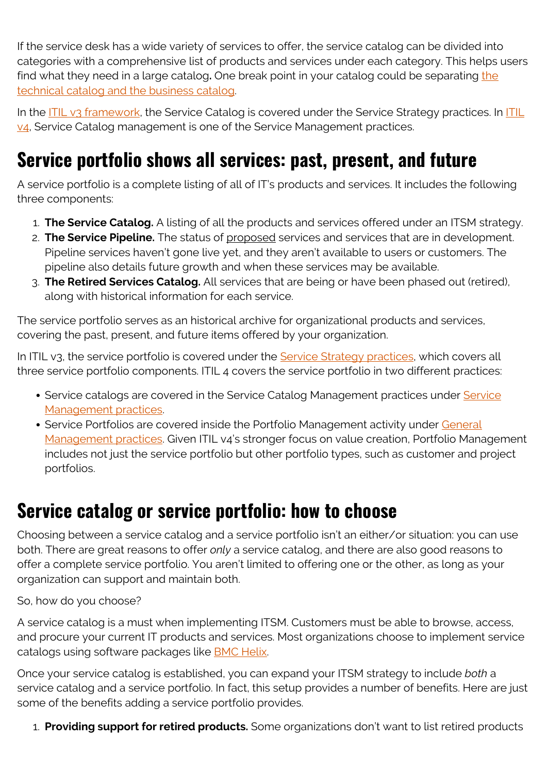If the service desk has a wide variety of services to offer, the service catalog can be divided into categories with a comprehensive list of products and services under each category. This helps users find what they need in a large catalog**.** One break point in your catalog could be separating [the](https://blogs.bmc.com/blogs/business-service-catalog-vs-technical-service-catalog/) [technical catalog and the business catalog](https://blogs.bmc.com/blogs/business-service-catalog-vs-technical-service-catalog/).

In the **[ITIL v3 framework](https://blogs.bmc.com/blogs/itil-v3-introduction/)**, the Service Catalog is covered under the Service Strategy practices. In **[ITIL](https://blogs.bmc.com/blogs/itil-4/)** [v4,](https://blogs.bmc.com/blogs/itil-4/) Service Catalog management is one of the Service Management practices.

## **Service portfolio shows all services: past, present, and future**

A service portfolio is a complete listing of all of IT's products and services. It includes the following three components:

- 1. **The Service Catalog.** A listing of all the products and services offered under an ITSM strategy.
- 2. **The Service Pipeline.** The status of proposed services and services that are in development. Pipeline services haven't gone live yet, and they aren't available to users or customers. The pipeline also details future growth and when these services may be available.
- 3. **The Retired Services Catalog.** All services that are being or have been phased out (retired), along with historical information for each service.

The service portfolio serves as an historical archive for organizational products and services, covering the past, present, and future items offered by your organization.

In ITIL v3, the service portfolio is covered under the [Service Strategy practices](https://blogs.bmc.com/blogs/itil-service-strategy/), which covers all three service portfolio components. ITIL 4 covers the service portfolio in two different practices:

- • [Service](https://blogs.bmc.com/blogs/itil-service-level-management/) catalogs are covered in the Service Catalog Management practices under Service [Management practices.](https://blogs.bmc.com/blogs/itil-service-level-management/)
- Service Portfolios are covered inside the Portfolio Management activity under [General](https://blogs.bmc.com/blogs/itil-management-practices/) [Management practices.](https://blogs.bmc.com/blogs/itil-management-practices/) Given ITIL v4's stronger focus on value creation, Portfolio Management includes not just the service portfolio but other portfolio types, such as customer and project portfolios.

#### **Service catalog or service portfolio: how to choose**

Choosing between a service catalog and a service portfolio isn't an either/or situation: you can use both. There are great reasons to offer *only* a service catalog, and there are also good reasons to offer a complete service portfolio. You aren't limited to offering one or the other, as long as your organization can support and maintain both.

So, how do you choose?

A service catalog is a must when implementing ITSM. Customers must be able to browse, access, and procure your current IT products and services. Most organizations choose to implement service catalogs using software packages like [BMC Helix.](https://blogs.bmc.com/it-solutions/bmc-helix.html)

Once your service catalog is established, you can expand your ITSM strategy to include *both* a service catalog and a service portfolio. In fact, this setup provides a number of benefits. Here are just some of the benefits adding a service portfolio provides.

1. **Providing support for retired products.** Some organizations don't want to list retired products